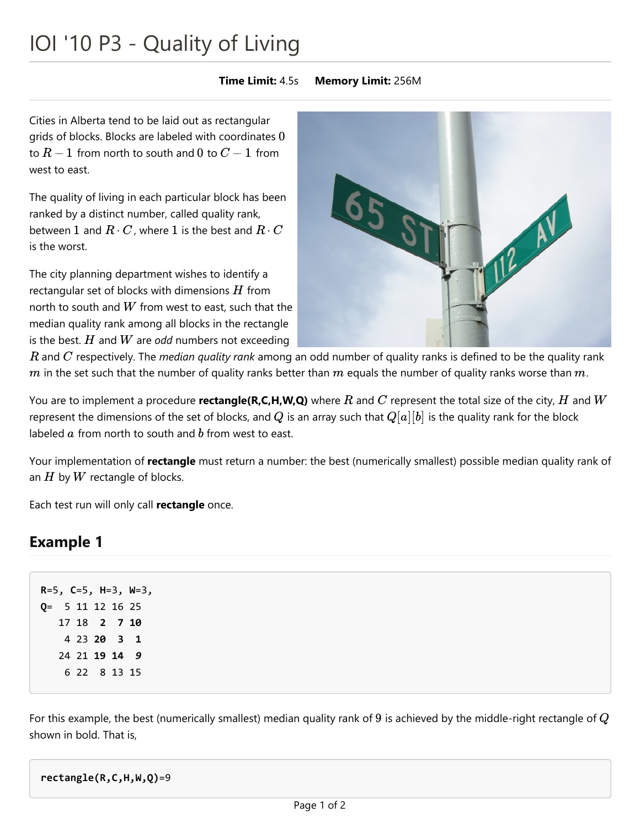# IOI '10 P3 - Quality of Living

#### **Time Limit:** 4.5s **Memory Limit:** 256M

Cities in Alberta tend to be laid out as rectangular grids of blocks. Blocks are labeled with coordinates 0 to  $R - 1$  from north to south and  $0$  to  $C - 1$  from west to east.

The quality of living in each particular block has been ranked by a distinct number, called quality rank, between  $1$  and  $R\cdot C$ , where  $1$  is the best and  $R\cdot C$ is the worst.

The city planning department wishes to identify a rectangular set of blocks with dimensions  $H$  from north to south and  $W$  from west to east, such that the median quality rank among all blocks in the rectangle is the best.  $H$  and  $W$  are *odd* numbers not exceeding



 $R$  and  $C$  respectively. The *median quality rank* among an odd number of quality ranks is defined to be the quality rank m in the set such that the number of quality ranks better than  $m$  equals the number of quality ranks worse than  $m$ .  $m$  in the set such that the number of quality ranks better than  $m$  equals the number of quality ranks worse than  $m$ .<br>You are to implement a procedure **rectangle(R,C,H,W,Q)** where  $R$  and  $C$  represent the total size of

represent the dimensions of the set of blocks, and  $Q$  is an array such that  $Q[a][b]$  is the quality rank for the block labeled  $a$  from north to south and  $b$  from west to east.

Your implementation of **rectangle** must return a number: the best (numerically smallest) possible median quality rank of an  $H$  by  $W$  rectangle of blocks.

Each test run will only call **rectangle** once.

## **Example 1**

**R**=5, **C**=5, **H**=3, **W**=3, **Q**= 5 11 12 16 25 18 **2 7 10** 23 **20 3 1** 21 **19 14** *9* 22 8 13 15

For this example, the best (numerically smallest) median quality rank of  $9$  is achieved by the middle-right rectangle of  $\overline{Q}$ shown in bold. That is,

**rectangle(R,C,H,W,Q)**=9